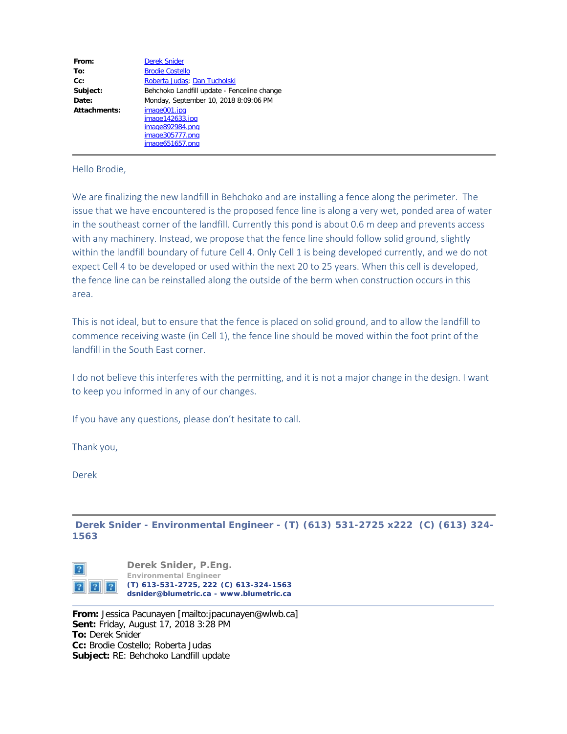| From:        | <b>Derek Snider</b>                                                                      |
|--------------|------------------------------------------------------------------------------------------|
| To:          | <b>Brodie Costello</b>                                                                   |
| $Cc$ :       | Roberta Judas; Dan Tucholski                                                             |
| Subject:     | Behchoko Landfill update - Fenceline change                                              |
| Date:        | Monday, September 10, 2018 8:09:06 PM                                                    |
| Attachments: | image001.jpg<br>image142633.jpg<br>image892984.png<br>image305777.png<br>image651657.png |

## Hello Brodie,

We are finalizing the new landfill in Behchoko and are installing a fence along the perimeter. The issue that we have encountered is the proposed fence line is along a very wet, ponded area of water in the southeast corner of the landfill. Currently this pond is about 0.6 m deep and prevents access with any machinery. Instead, we propose that the fence line should follow solid ground, slightly within the landfill boundary of future Cell 4. Only Cell 1 is being developed currently, and we do not expect Cell 4 to be developed or used within the next 20 to 25 years. When this cell is developed, the fence line can be reinstalled along the outside of the berm when construction occurs in this area.

This is not ideal, but to ensure that the fence is placed on solid ground, and to allow the landfill to commence receiving waste (in Cell 1), the fence line should be moved within the foot print of the landfill in the South East corner.

I do not believe this interferes with the permitting, and it is not a major change in the design. I want to keep you informed in any of our changes.

If you have any questions, please don't hesitate to call.

Thank you,

Derek

**Derek Snider - Environmental Engineer - (T) (613) 531-2725 x222 (C) (613) 324- 1563**



**From:** Jessica Pacunayen [mailto:jpacunayen@wlwb.ca] **Sent:** Friday, August 17, 2018 3:28 PM **To:** Derek Snider **Cc:** Brodie Costello; Roberta Judas **Subject:** RE: Behchoko Landfill update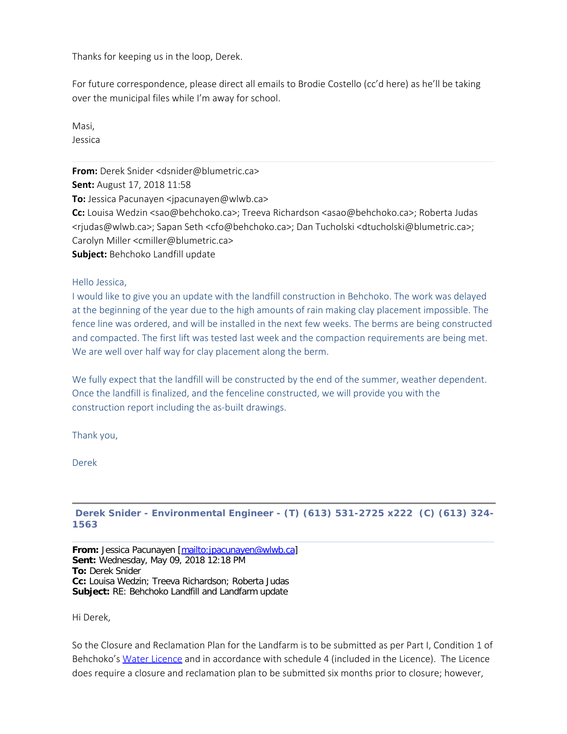Thanks for keeping us in the loop, Derek.

For future correspondence, please direct all emails to Brodie Costello (cc'd here) as he'll be taking over the municipal files while I'm away for school.

Masi, Jessica

**From:** Derek Snider <dsnider@blumetric.ca> **Sent:** August 17, 2018 11:58 **To:** Jessica Pacunayen <jpacunayen@wlwb.ca> **Cc:** Louisa Wedzin <sao@behchoko.ca>; Treeva Richardson <asao@behchoko.ca>; Roberta Judas <rjudas@wlwb.ca>; Sapan Seth <cfo@behchoko.ca>; Dan Tucholski <dtucholski@blumetric.ca>; Carolyn Miller <cmiller@blumetric.ca> **Subject:** Behchoko Landfill update

Hello Jessica,

I would like to give you an update with the landfill construction in Behchoko. The work was delayed at the beginning of the year due to the high amounts of rain making clay placement impossible. The fence line was ordered, and will be installed in the next few weeks. The berms are being constructed and compacted. The first lift was tested last week and the compaction requirements are being met. We are well over half way for clay placement along the berm.

We fully expect that the landfill will be constructed by the end of the summer, weather dependent. Once the landfill is finalized, and the fenceline constructed, we will provide you with the construction report including the as-built drawings.

Thank you,

Derek

## **Derek Snider - Environmental Engineer - (T) (613) 531-2725 x222 (C) (613) 324- 1563**

**From:** Jessica Pacunayen [<mailto:jpacunayen@wlwb.ca>] **Sent:** Wednesday, May 09, 2018 12:18 PM **To:** Derek Snider **Cc:** Louisa Wedzin; Treeva Richardson; Roberta Judas **Subject:** RE: Behchoko Landfill and Landfarm update

Hi Derek,

So the Closure and Reclamation Plan for the Landfarm is to be submitted as per Part I, Condition 1 of Behchoko's [Water Licence](http://registry.mvlwb.ca/Documents/W2014L3-0002/W2014L3-0002%20-%20Behchoko%20-%20Water%20Licence%20-%20Rectification%20of%20Clerical%20Errors%20-%20Jul%2024_15.pdf) and in accordance with schedule 4 (included in the Licence). The Licence does require a closure and reclamation plan to be submitted six months prior to closure; however,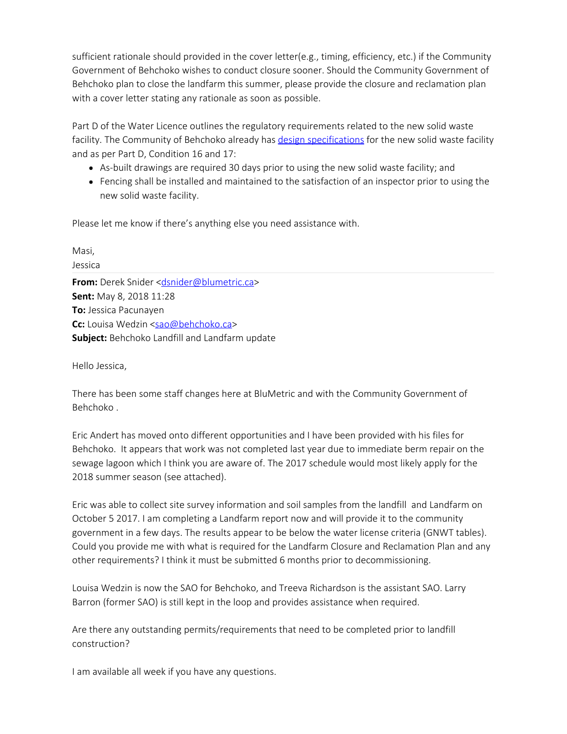sufficient rationale should provided in the cover letter(e.g., timing, efficiency, etc.) if the Community Government of Behchoko wishes to conduct closure sooner. Should the Community Government of Behchoko plan to close the landfarm this summer, please provide the closure and reclamation plan with a cover letter stating any rationale as soon as possible.

Part D of the Water Licence outlines the regulatory requirements related to the new solid waste facility. The Community of Behchoko already has [design specifications](http://registry.mvlwb.ca/Documents/W2014L3-0002/W2014L3-0002%20-%20Behchoko%20-%20Solid%20Waste%20Facility%20-%20New%20Site%20Design%20Specifications%20-%20Mar%2011_14.pdf) for the new solid waste facility and as per Part D, Condition 16 and 17:

- As-built drawings are required 30 days prior to using the new solid waste facility; and
- Fencing shall be installed and maintained to the satisfaction of an inspector prior to using the new solid waste facility.

Please let me know if there's anything else you need assistance with.

| Masi,                                                 |
|-------------------------------------------------------|
| Jessica                                               |
| <b>From:</b> Derek Snider < dsnider@blumetric.ca>     |
| <b>Sent:</b> May 8, 2018 11:28                        |
| To: Jessica Pacunayen                                 |
| Cc: Louisa Wedzin <sao@behchoko.ca></sao@behchoko.ca> |
| <b>Subject:</b> Behchoko Landfill and Landfarm update |

Hello Jessica,

There has been some staff changes here at BluMetric and with the Community Government of Behchoko .

Eric Andert has moved onto different opportunities and I have been provided with his files for Behchoko. It appears that work was not completed last year due to immediate berm repair on the sewage lagoon which I think you are aware of. The 2017 schedule would most likely apply for the 2018 summer season (see attached).

Eric was able to collect site survey information and soil samples from the landfill and Landfarm on October 5 2017. I am completing a Landfarm report now and will provide it to the community government in a few days. The results appear to be below the water license criteria (GNWT tables). Could you provide me with what is required for the Landfarm Closure and Reclamation Plan and any other requirements? I think it must be submitted 6 months prior to decommissioning.

Louisa Wedzin is now the SAO for Behchoko, and Treeva Richardson is the assistant SAO. Larry Barron (former SAO) is still kept in the loop and provides assistance when required.

Are there any outstanding permits/requirements that need to be completed prior to landfill construction?

I am available all week if you have any questions.